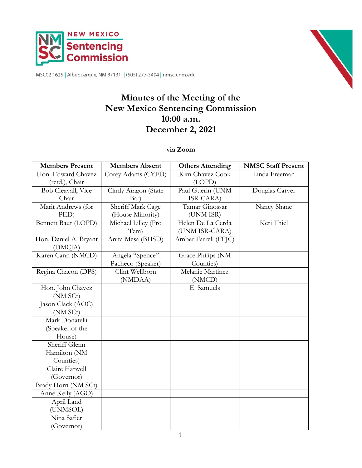



MSC02 1625 | Albuquerque, NM 87131 | (505) 277-3494 | nmsc.unm.edu

# **Minutes of the Meeting of the New Mexico Sentencing Commission 10:00 a.m. December 2, 2021**

### **via Zoom**

| <b>Members Present</b> | <b>Members Absent</b> | <b>Others Attending</b> | <b>NMSC Staff Present</b> |
|------------------------|-----------------------|-------------------------|---------------------------|
| Hon. Edward Chavez     | Corey Adams (CYFD)    | Kim Chavez Cook         | Linda Freeman             |
| (retd.), Chair         |                       | (LOPD)                  |                           |
| Bob Cleavall, Vice     | Cindy Aragon (State   | Paul Guerin (UNM        | Douglas Carver            |
| Chair                  | Bar)                  | ISR-CARA)               |                           |
| Marit Andrews (for     | Sheriff Mark Cage     | Tamar Ginossar          | Nancy Shane               |
| PED)                   | (House Minority)      | (UNM ISR)               |                           |
| Bennett Baur (LOPD)    | Michael Lilley (Pro   | Helen De La Cerda       | Keri Thiel                |
|                        | Tem)                  | (UNM ISR-CARA)          |                           |
| Hon. Daniel A. Bryant  | Anita Mesa (BHSD)     | Amber Farrell (FFJC)    |                           |
| (DMC <sub>IA</sub> )   |                       |                         |                           |
| Karen Cann (NMCD)      | Angela "Spence"       | Grace Philips (NM       |                           |
|                        | Pacheco (Speaker)     | Counties)               |                           |
| Regina Chacon (DPS)    | Clint Wellborn        | Melanie Martinez        |                           |
|                        | (NMDAA)               | (NMCD)                  |                           |
| Hon. John Chavez       |                       | E. Samuels              |                           |
| (NM SCt)               |                       |                         |                           |
| Jason Clack (AOC)      |                       |                         |                           |
| (NM SCt)               |                       |                         |                           |
| Mark Donatelli         |                       |                         |                           |
| (Speaker of the        |                       |                         |                           |
| House)                 |                       |                         |                           |
| Sheriff Glenn          |                       |                         |                           |
| Hamilton (NM           |                       |                         |                           |
| Counties)              |                       |                         |                           |
| Claire Harwell         |                       |                         |                           |
| (Governor)             |                       |                         |                           |
| Brady Horn (NM SCt)    |                       |                         |                           |
| Anne Kelly (AGO)       |                       |                         |                           |
| April Land             |                       |                         |                           |
| (UNMSOL)               |                       |                         |                           |
| Nina Safier            |                       |                         |                           |
| (Governor)             |                       |                         |                           |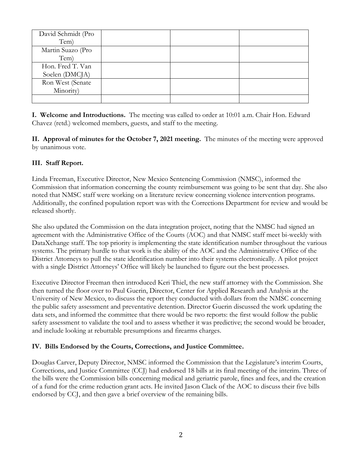| David Schmidt (Pro |  |  |
|--------------------|--|--|
| Tem)               |  |  |
| Martin Suazo (Pro  |  |  |
| Tem)               |  |  |
| Hon. Fred T. Van   |  |  |
| Soelen (DMCJA)     |  |  |
| Ron West (Senate   |  |  |
| Minority)          |  |  |
|                    |  |  |

**I. Welcome and Introductions.** The meeting was called to order at 10:01 a.m. Chair Hon. Edward Chavez (retd.) welcomed members, guests, and staff to the meeting.

**II. Approval of minutes for the October 7, 2021 meeting.** The minutes of the meeting were approved by unanimous vote.

## **III. Staff Report.**

Linda Freeman, Executive Director, New Mexico Sentencing Commission (NMSC), informed the Commission that information concerning the county reimbursement was going to be sent that day. She also noted that NMSC staff were working on a literature review concerning violence intervention programs. Additionally, the confined population report was with the Corrections Department for review and would be released shortly.

She also updated the Commission on the data integration project, noting that the NMSC had signed an agreement with the Administrative Office of the Courts (AOC) and that NMSC staff meet bi-weekly with DataXchange staff. The top priority is implementing the state identification number throughout the various systems. The primary hurdle to that work is the ability of the AOC and the Administrative Office of the District Attorneys to pull the state identification number into their systems electronically. A pilot project with a single District Attorneys' Office will likely be launched to figure out the best processes.

Executive Director Freeman then introduced Keri Thiel, the new staff attorney with the Commission. She then turned the floor over to Paul Guerin, Director, Center for Applied Research and Analysis at the University of New Mexico, to discuss the report they conducted with dollars from the NMSC concerning the public safety assessment and preventative detention. Director Guerin discussed the work updating the data sets, and informed the committee that there would be two reports: the first would follow the public safety assessment to validate the tool and to assess whether it was predictive; the second would be broader, and include looking at rebuttable presumptions and firearms charges.

# **IV. Bills Endorsed by the Courts, Corrections, and Justice Committee.**

Douglas Carver, Deputy Director, NMSC informed the Commission that the Legislature's interim Courts, Corrections, and Justice Committee (CCJ) had endorsed 18 bills at its final meeting of the interim. Three of the bills were the Commission bills concerning medical and geriatric parole, fines and fees, and the creation of a fund for the crime reduction grant acts. He invited Jason Clack of the AOC to discuss their five bills endorsed by CCJ, and then gave a brief overview of the remaining bills.